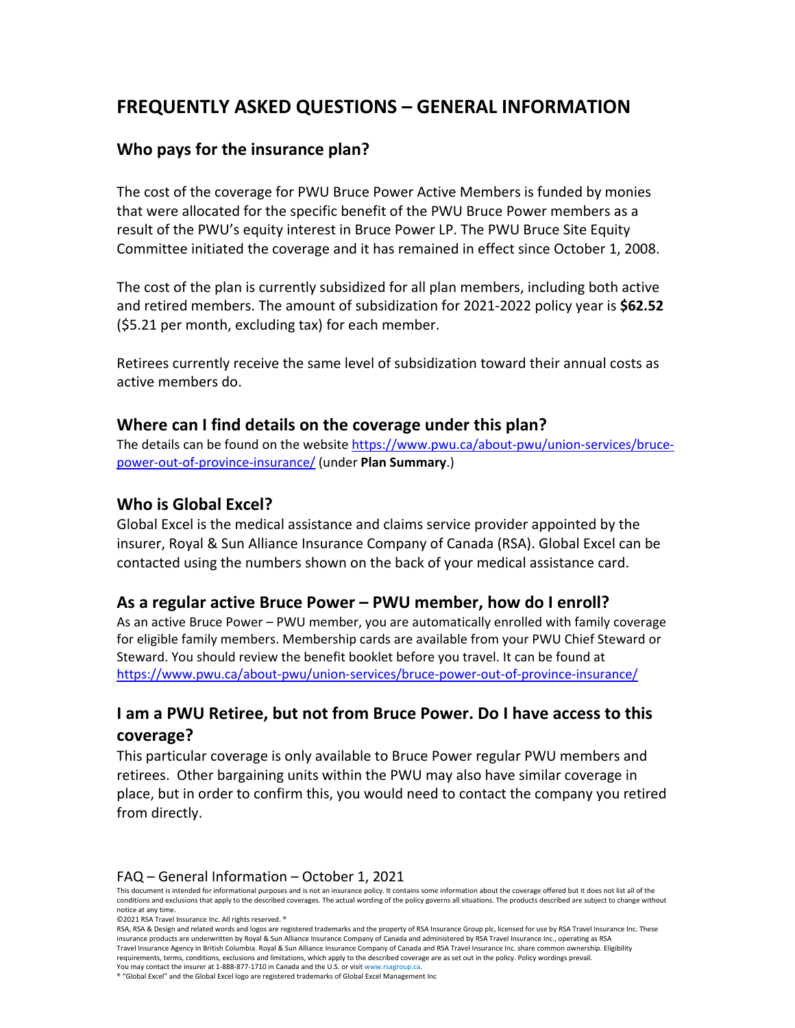# **FREQUENTLY ASKED QUESTIONS – GENERAL INFORMATION**

## **Who pays for the insurance plan?**

The cost of the coverage for PWU Bruce Power Active Members is funded by monies that were allocated for the specific benefit of the PWU Bruce Power members as a result of the PWU's equity interest in Bruce Power LP. The PWU Bruce Site Equity Committee initiated the coverage and it has remained in effect since October 1, 2008.

The cost of the plan is currently subsidized for all plan members, including both active and retired members. The amount of subsidization for 2021-2022 policy year is **\$62.52**  (\$5.21 per month, excluding tax) for each member.

Retirees currently receive the same level of subsidization toward their annual costs as active members do.

#### **Where can I find details on the coverage under this plan?**

The details can be found on the website [https://www.pwu.ca/about-pwu/union-services/bruce](https://www.pwu.ca/about-pwu/union-services/bruce-power-out-of-province-insurance/)[power-out-of-province-insurance/](https://www.pwu.ca/about-pwu/union-services/bruce-power-out-of-province-insurance/) (under **Plan Summary**.)

#### **Who is Global Excel?**

Global Excel is the medical assistance and claims service provider appointed by the insurer, Royal & Sun Alliance Insurance Company of Canada (RSA). Global Excel can be contacted using the numbers shown on the back of your medical assistance card.

#### **As a regular active Bruce Power – PWU member, how do I enroll?**

As an active Bruce Power – PWU member, you are automatically enrolled with family coverage for eligible family members. Membership cards are available from your PWU Chief Steward or Steward. You should review the benefit booklet before you travel. It can be found at <https://www.pwu.ca/about-pwu/union-services/bruce-power-out-of-province-insurance/>

## **I am a PWU Retiree, but not from Bruce Power. Do I have access to this coverage?**

This particular coverage is only available to Bruce Power regular PWU members and retirees. Other bargaining units within the PWU may also have similar coverage in place, but in order to confirm this, you would need to contact the company you retired from directly.

#### FAQ – General Information – October 1, 2021

This document is intended for informational purposes and is not an insurance policy. It contains some information about the coverage offered but it does not list all of the conditions and exclusions that apply to the described coverages. The actual wording of the policy governs all situations. The products described are subject to change without notice at any time.

©2021 RSA Travel Insurance Inc. All rights reserved. ®

RSA, RSA & Design and related words and logos are registered trademarks and the property of RSA Insurance Group plc, licensed for use by RSA Travel Insurance Inc. These insurance products are underwritten by Royal & Sun Alliance Insurance Company of Canada and administered by RSA Travel Insurance Inc., operating as RSA Travel Insurance Agency in British Columbia. Royal & Sun Alliance Insurance Company of Canada and RSA Travel Insurance Inc. share common ownership. Eligibility requirements, terms, conditions, exclusions and limitations, which apply to the described coverage are as set out in the policy. Policy wordings prevail. You may contact the insurer at 1-888-877-1710 in Canada and the U.S. or visi[t www.rsagroup.ca.](http://www.rsagroup.ca/)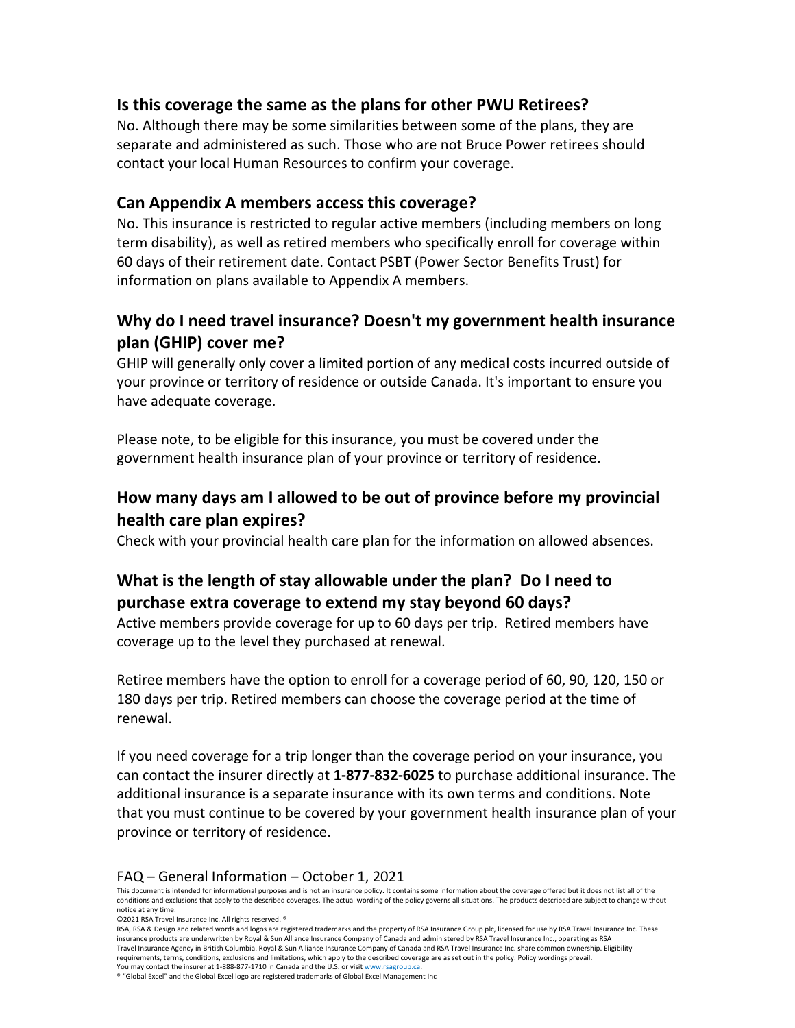#### **Is this coverage the same as the plans for other PWU Retirees?**

No. Although there may be some similarities between some of the plans, they are separate and administered as such. Those who are not Bruce Power retirees should contact your local Human Resources to confirm your coverage.

#### **Can Appendix A members access this coverage?**

No. This insurance is restricted to regular active members (including members on long term disability), as well as retired members who specifically enroll for coverage within 60 days of their retirement date. Contact PSBT (Power Sector Benefits Trust) for information on plans available to Appendix A members.

## **Why do I need travel insurance? Doesn't my government health insurance plan (GHIP) cover me?**

GHIP will generally only cover a limited portion of any medical costs incurred outside of your province or territory of residence or outside Canada. It's important to ensure you have adequate coverage.

Please note, to be eligible for this insurance, you must be covered under the government health insurance plan of your province or territory of residence.

## **How many days am I allowed to be out of province before my provincial health care plan expires?**

Check with your provincial health care plan for the information on allowed absences.

## **What is the length of stay allowable under the plan? Do I need to purchase extra coverage to extend my stay beyond 60 days?**

Active members provide coverage for up to 60 days per trip. Retired members have coverage up to the level they purchased at renewal.

Retiree members have the option to enroll for a coverage period of 60, 90, 120, 150 or 180 days per trip. Retired members can choose the coverage period at the time of renewal.

If you need coverage for a trip longer than the coverage period on your insurance, you can contact the insurer directly at **1-877-832-6025** to purchase additional insurance. The additional insurance is a separate insurance with its own terms and conditions. Note that you must continue to be covered by your government health insurance plan of your province or territory of residence.

#### FAQ – General Information – October 1, 2021

This document is intended for informational purposes and is not an insurance policy. It contains some information about the coverage offered but it does not list all of the conditions and exclusions that apply to the described coverages. The actual wording of the policy governs all situations. The products described are subject to change without notice at any time.

©2021 RSA Travel Insurance Inc. All rights reserved. ®

RSA, RSA & Design and related words and logos are registered trademarks and the property of RSA Insurance Group plc, licensed for use by RSA Travel Insurance Inc. These insurance products are underwritten by Royal & Sun Alliance Insurance Company of Canada and administered by RSA Travel Insurance Inc., operating as RSA Travel Insurance Agency in British Columbia. Royal & Sun Alliance Insurance Company of Canada and RSA Travel Insurance Inc. share common ownership. Eligibility requirements, terms, conditions, exclusions and limitations, which apply to the described coverage are as set out in the policy. Policy wordings prevail. You may contact the insurer at 1-888-877-1710 in Canada and the U.S. or visi[t www.rsagroup.ca.](http://www.rsagroup.ca/)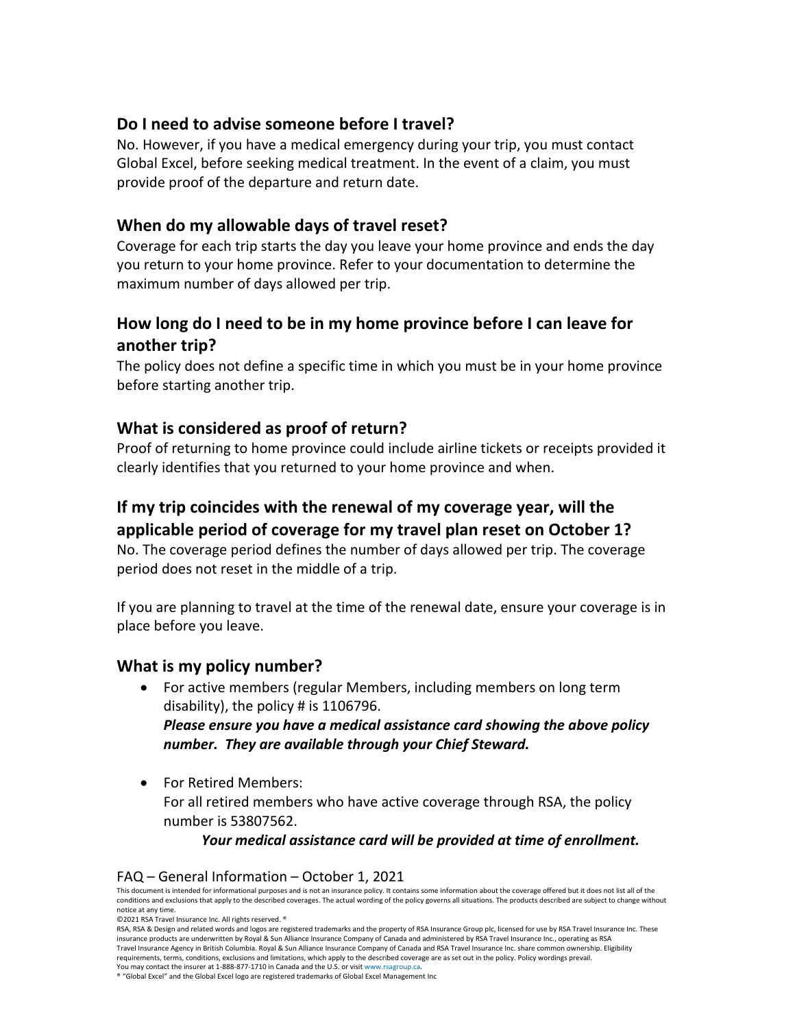### **Do I need to advise someone before I travel?**

No. However, if you have a medical emergency during your trip, you must contact Global Excel, before seeking medical treatment. In the event of a claim, you must provide proof of the departure and return date.

## **When do my allowable days of travel reset?**

Coverage for each trip starts the day you leave your home province and ends the day you return to your home province. Refer to your documentation to determine the maximum number of days allowed per trip.

## **How long do I need to be in my home province before I can leave for another trip?**

The policy does not define a specific time in which you must be in your home province before starting another trip.

### **What is considered as proof of return?**

Proof of returning to home province could include airline tickets or receipts provided it clearly identifies that you returned to your home province and when.

## **If my trip coincides with the renewal of my coverage year, will the applicable period of coverage for my travel plan reset on October 1?**

No. The coverage period defines the number of days allowed per trip. The coverage period does not reset in the middle of a trip.

If you are planning to travel at the time of the renewal date, ensure your coverage is in place before you leave.

#### **What is my policy number?**

- For active members (regular Members, including members on long term disability), the policy # is 1106796. *Please ensure you have a medical assistance card showing the above policy number. They are available through your Chief Steward.*
- For Retired Members: For all retired members who have active coverage through RSA, the policy number is 53807562.

*Your medical assistance card will be provided at time of enrollment.*

#### FAQ – General Information – October 1, 2021

©2021 RSA Travel Insurance Inc. All rights reserved. ®

This document is intended for informational purposes and is not an insurance policy. It contains some information about the coverage offered but it does not list all of the conditions and exclusions that apply to the described coverages. The actual wording of the policy governs all situations. The products described are subject to change without notice at any time.

RSA, RSA & Design and related words and logos are registered trademarks and the property of RSA Insurance Group plc, licensed for use by RSA Travel Insurance Inc. These insurance products are underwritten by Royal & Sun Alliance Insurance Company of Canada and administered by RSA Travel Insurance Inc., operating as RSA Travel Insurance Agency in British Columbia. Royal & Sun Alliance Insurance Company of Canada and RSA Travel Insurance Inc. share common ownership. Eligibility requirements, terms, conditions, exclusions and limitations, which apply to the described coverage are as set out in the policy. Policy wordings prevail. You may contact the insurer at 1-888-877-1710 in Canada and the U.S. or visi[t www.rsagroup.ca.](http://www.rsagroup.ca/)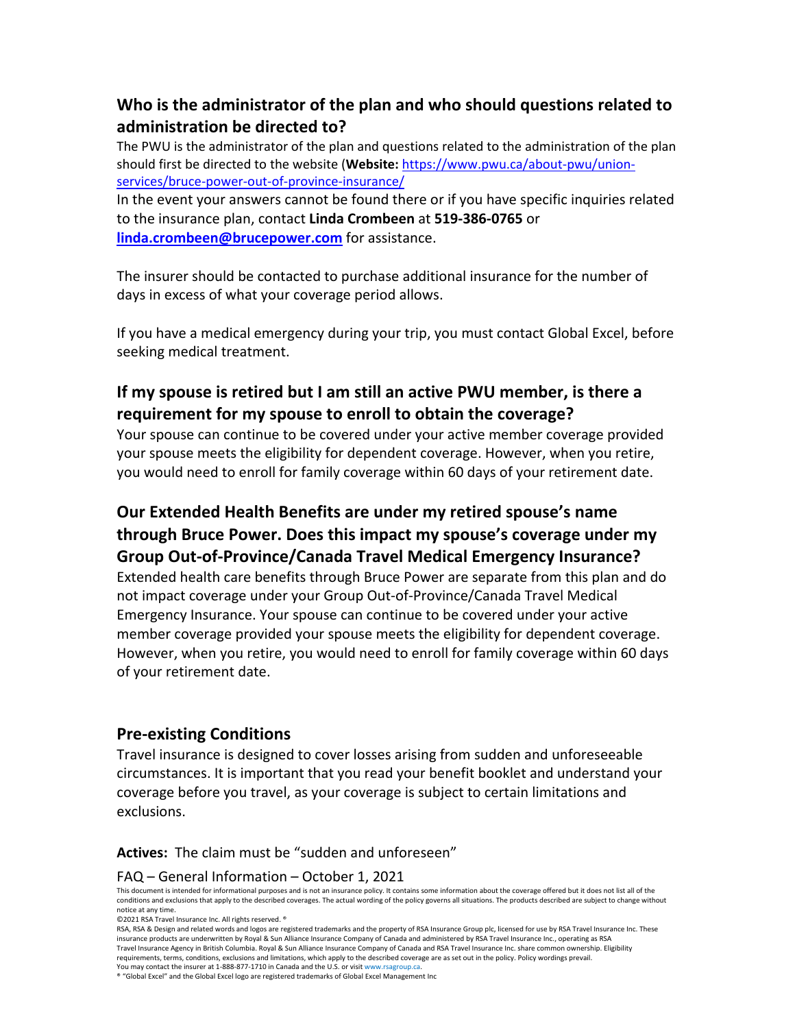## **Who is the administrator of the plan and who should questions related to administration be directed to?**

The PWU is the administrator of the plan and questions related to the administration of the plan should first be directed to the website (**Website:** [https://www.pwu.ca/about-pwu/union](https://www.pwu.ca/about-pwu/union-services/bruce-power-out-of-province-insurance/)[services/bruce-power-out-of-province-insurance/](https://www.pwu.ca/about-pwu/union-services/bruce-power-out-of-province-insurance/)

In the event your answers cannot be found there or if you have specific inquiries related to the insurance plan, contact **Linda Crombeen** at **519-386-0765** or **[linda.crombeen@brucepower.com](mailto:linda.crombeen@brucepower.com)** for assistance.

The insurer should be contacted to purchase additional insurance for the number of days in excess of what your coverage period allows.

If you have a medical emergency during your trip, you must contact Global Excel, before seeking medical treatment.

## **If my spouse is retired but I am still an active PWU member, is there a requirement for my spouse to enroll to obtain the coverage?**

Your spouse can continue to be covered under your active member coverage provided your spouse meets the eligibility for dependent coverage. However, when you retire, you would need to enroll for family coverage within 60 days of your retirement date.

## **Our Extended Health Benefits are under my retired spouse's name through Bruce Power. Does this impact my spouse's coverage under my Group Out-of-Province/Canada Travel Medical Emergency Insurance?**

Extended health care benefits through Bruce Power are separate from this plan and do not impact coverage under your Group Out-of-Province/Canada Travel Medical Emergency Insurance. Your spouse can continue to be covered under your active member coverage provided your spouse meets the eligibility for dependent coverage. However, when you retire, you would need to enroll for family coverage within 60 days of your retirement date.

#### **Pre-existing Conditions**

Travel insurance is designed to cover losses arising from sudden and unforeseeable circumstances. It is important that you read your benefit booklet and understand your coverage before you travel, as your coverage is subject to certain limitations and exclusions.

**Actives:** The claim must be "sudden and unforeseen"

#### FAQ – General Information – October 1, 2021

This document is intended for informational purposes and is not an insurance policy. It contains some information about the coverage offered but it does not list all of the conditions and exclusions that apply to the described coverages. The actual wording of the policy governs all situations. The products described are subject to change without notice at any time.

©2021 RSA Travel Insurance Inc. All rights reserved. ®

RSA, RSA & Design and related words and logos are registered trademarks and the property of RSA Insurance Group plc, licensed for use by RSA Travel Insurance Inc. These insurance products are underwritten by Royal & Sun Alliance Insurance Company of Canada and administered by RSA Travel Insurance Inc., operating as RSA Travel Insurance Agency in British Columbia. Royal & Sun Alliance Insurance Company of Canada and RSA Travel Insurance Inc. share common ownership. Eligibility requirements, terms, conditions, exclusions and limitations, which apply to the described coverage are as set out in the policy. Policy wordings prevail. You may contact the insurer at 1-888-877-1710 in Canada and the U.S. or visi[t www.rsagroup.ca.](http://www.rsagroup.ca/)